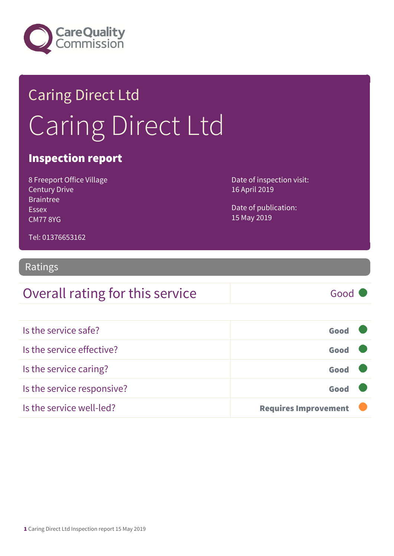

# Caring Direct Ltd Caring Direct Ltd

#### Inspection report

8 Freeport Office Village Century Drive Braintree Essex CM77 8YG

Date of inspection visit: 16 April 2019

Date of publication: 15 May 2019

Tel: 01376653162

#### Ratings

| Overall rating for this service | Good |
|---------------------------------|------|
|---------------------------------|------|

| Is the service safe?       | Good                        |  |
|----------------------------|-----------------------------|--|
| Is the service effective?  | Good                        |  |
| Is the service caring?     | Good                        |  |
| Is the service responsive? | Good                        |  |
| Is the service well-led?   | <b>Requires Improvement</b> |  |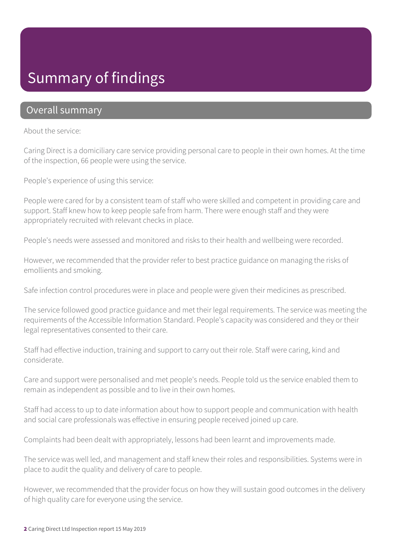## Summary of findings

#### Overall summary

About the service:

Caring Direct is a domiciliary care service providing personal care to people in their own homes. At the time of the inspection, 66 people were using the service.

People's experience of using this service:

People were cared for by a consistent team of staff who were skilled and competent in providing care and support. Staff knew how to keep people safe from harm. There were enough staff and they were appropriately recruited with relevant checks in place.

People's needs were assessed and monitored and risks to their health and wellbeing were recorded.

However, we recommended that the provider refer to best practice guidance on managing the risks of emollients and smoking.

Safe infection control procedures were in place and people were given their medicines as prescribed.

The service followed good practice guidance and met their legal requirements. The service was meeting the requirements of the Accessible Information Standard. People's capacity was considered and they or their legal representatives consented to their care.

Staff had effective induction, training and support to carry out their role. Staff were caring, kind and considerate.

Care and support were personalised and met people's needs. People told us the service enabled them to remain as independent as possible and to live in their own homes.

Staff had access to up to date information about how to support people and communication with health and social care professionals was effective in ensuring people received joined up care.

Complaints had been dealt with appropriately, lessons had been learnt and improvements made.

The service was well led, and management and staff knew their roles and responsibilities. Systems were in place to audit the quality and delivery of care to people.

However, we recommended that the provider focus on how they will sustain good outcomes in the delivery of high quality care for everyone using the service.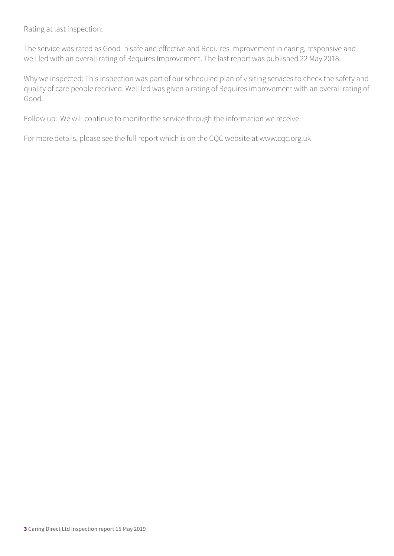Rating at last inspection:

The service was rated as Good in safe and effective and Requires Improvement in caring, responsive and well led with an overall rating of Requires Improvement. The last report was published 22 May 2018.

Why we inspected: This inspection was part of our scheduled plan of visiting services to check the safety and quality of care people received. Well led was given a rating of Requires improvement with an overall rating of Good.

Follow up: We will continue to monitor the service through the information we receive.

For more details, please see the full report which is on the CQC website at www.cqc.org.uk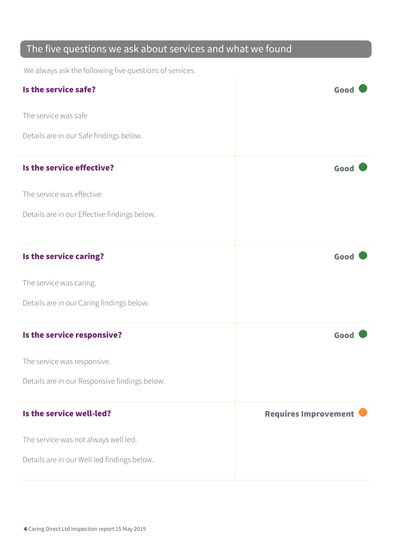#### The five questions we ask about services and what we found

We always ask the following five questions of services.

| Is the service safe?                          | Good                        |
|-----------------------------------------------|-----------------------------|
| The service was safe                          |                             |
| Details are in our Safe findings below.       |                             |
| Is the service effective?                     | Good                        |
| The service was effective                     |                             |
| Details are in our Effective findings below.  |                             |
| Is the service caring?                        | Good                        |
| The service was caring.                       |                             |
| Details are in our Caring findings below.     |                             |
| Is the service responsive?                    | Good                        |
| The service was responsive.                   |                             |
| Details are in our Responsive findings below. |                             |
| Is the service well-led?                      | <b>Requires Improvement</b> |
| The service was not always well led.          |                             |
| Details are in our Well led findings below.   |                             |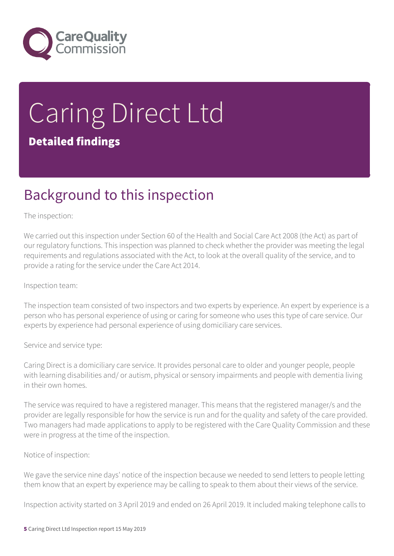

# Caring Direct Ltd Detailed findings

## Background to this inspection

#### The inspection:

We carried out this inspection under Section 60 of the Health and Social Care Act 2008 (the Act) as part of our regulatory functions. This inspection was planned to check whether the provider was meeting the legal requirements and regulations associated with the Act, to look at the overall quality of the service, and to provide a rating for the service under the Care Act 2014.

#### Inspection team:

The inspection team consisted of two inspectors and two experts by experience. An expert by experience is a person who has personal experience of using or caring for someone who uses this type of care service. Our experts by experience had personal experience of using domiciliary care services.

#### Service and service type:

Caring Direct is a domiciliary care service. It provides personal care to older and younger people, people with learning disabilities and/ or autism, physical or sensory impairments and people with dementia living in their own homes.

The service was required to have a registered manager. This means that the registered manager/s and the provider are legally responsible for how the service is run and for the quality and safety of the care provided. Two managers had made applications to apply to be registered with the Care Quality Commission and these were in progress at the time of the inspection.

Notice of inspection:

We gave the service nine days' notice of the inspection because we needed to send letters to people letting them know that an expert by experience may be calling to speak to them about their views of the service.

Inspection activity started on 3 April 2019 and ended on 26 April 2019. It included making telephone calls to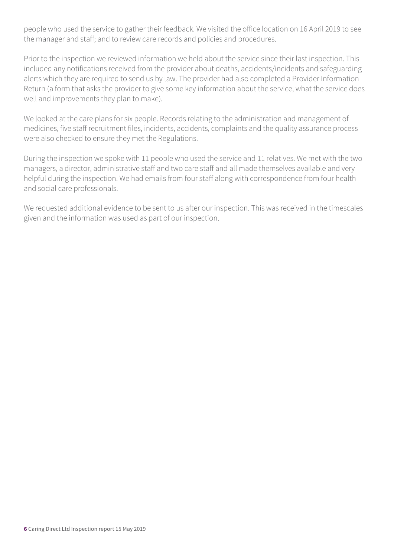people who used the service to gather their feedback. We visited the office location on 16 April 2019 to see the manager and staff; and to review care records and policies and procedures.

Prior to the inspection we reviewed information we held about the service since their last inspection. This included any notifications received from the provider about deaths, accidents/incidents and safeguarding alerts which they are required to send us by law. The provider had also completed a Provider Information Return (a form that asks the provider to give some key information about the service, what the service does well and improvements they plan to make).

We looked at the care plans for six people. Records relating to the administration and management of medicines, five staff recruitment files, incidents, accidents, complaints and the quality assurance process were also checked to ensure they met the Regulations.

During the inspection we spoke with 11 people who used the service and 11 relatives. We met with the two managers, a director, administrative staff and two care staff and all made themselves available and very helpful during the inspection. We had emails from four staff along with correspondence from four health and social care professionals.

We requested additional evidence to be sent to us after our inspection. This was received in the timescales given and the information was used as part of our inspection.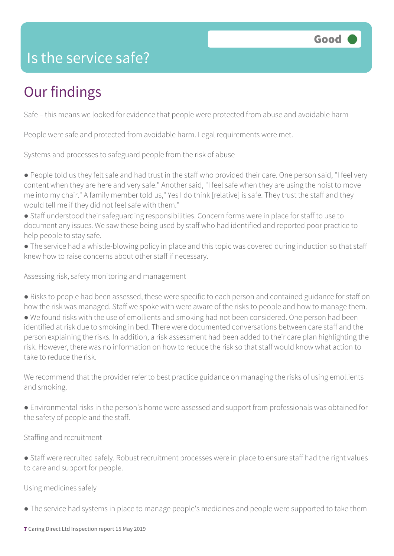

#### Is the service safe?

## Our findings

Safe – this means we looked for evidence that people were protected from abuse and avoidable harm

People were safe and protected from avoidable harm. Legal requirements were met.

Systems and processes to safeguard people from the risk of abuse

● People told us they felt safe and had trust in the staff who provided their care. One person said, "I feel very content when they are here and very safe." Another said, "I feel safe when they are using the hoist to move me into my chair." A family member told us," Yes I do think [relative] is safe. They trust the staff and they would tell me if they did not feel safe with them."

● Staff understood their safeguarding responsibilities. Concern forms were in place for staff to use to document any issues. We saw these being used by staff who had identified and reported poor practice to help people to stay safe.

● The service had a whistle-blowing policy in place and this topic was covered during induction so that staff knew how to raise concerns about other staff if necessary.

Assessing risk, safety monitoring and management

● Risks to people had been assessed, these were specific to each person and contained guidance for staff on how the risk was managed. Staff we spoke with were aware of the risks to people and how to manage them.

● We found risks with the use of emollients and smoking had not been considered. One person had been identified at risk due to smoking in bed. There were documented conversations between care staff and the person explaining the risks. In addition, a risk assessment had been added to their care plan highlighting the risk. However, there was no information on how to reduce the risk so that staff would know what action to take to reduce the risk.

We recommend that the provider refer to best practice guidance on managing the risks of using emollients and smoking.

● Environmental risks in the person's home were assessed and support from professionals was obtained for the safety of people and the staff.

Staffing and recruitment

● Staff were recruited safely. Robust recruitment processes were in place to ensure staff had the right values to care and support for people.

Using medicines safely

● The service had systems in place to manage people's medicines and people were supported to take them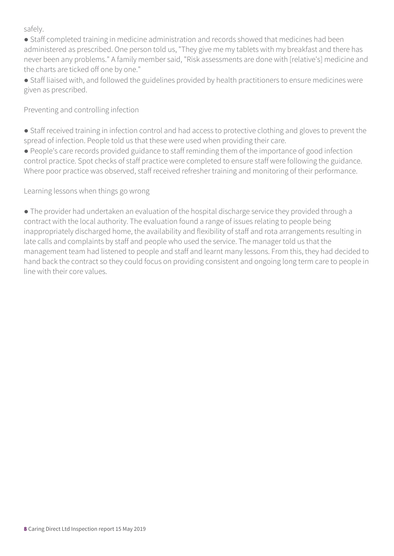safely.

● Staff completed training in medicine administration and records showed that medicines had been administered as prescribed. One person told us, "They give me my tablets with my breakfast and there has never been any problems." A family member said, "Risk assessments are done with [relative's] medicine and the charts are ticked off one by one."

● Staff liaised with, and followed the guidelines provided by health practitioners to ensure medicines were given as prescribed.

Preventing and controlling infection

● Staff received training in infection control and had access to protective clothing and gloves to prevent the spread of infection. People told us that these were used when providing their care.

● People's care records provided guidance to staff reminding them of the importance of good infection control practice. Spot checks of staff practice were completed to ensure staff were following the guidance. Where poor practice was observed, staff received refresher training and monitoring of their performance.

Learning lessons when things go wrong

● The provider had undertaken an evaluation of the hospital discharge service they provided through a contract with the local authority. The evaluation found a range of issues relating to people being inappropriately discharged home, the availability and flexibility of staff and rota arrangements resulting in late calls and complaints by staff and people who used the service. The manager told us that the management team had listened to people and staff and learnt many lessons. From this, they had decided to hand back the contract so they could focus on providing consistent and ongoing long term care to people in line with their core values.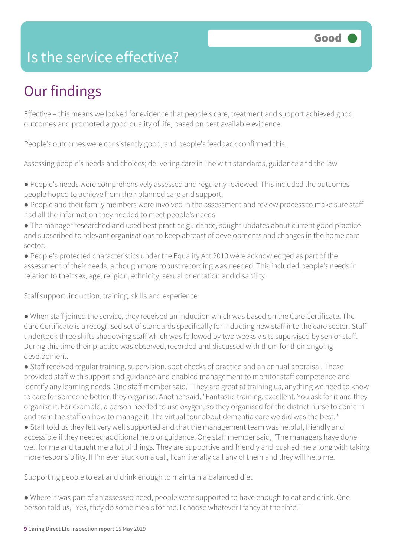### Is the service effective?

# Our findings

Effective – this means we looked for evidence that people's care, treatment and support achieved good outcomes and promoted a good quality of life, based on best available evidence

People's outcomes were consistently good, and people's feedback confirmed this.

Assessing people's needs and choices; delivering care in line with standards, guidance and the law

- People's needs were comprehensively assessed and regularly reviewed. This included the outcomes people hoped to achieve from their planned care and support.
- People and their family members were involved in the assessment and review process to make sure staff had all the information they needed to meet people's needs.
- The manager researched and used best practice guidance, sought updates about current good practice and subscribed to relevant organisations to keep abreast of developments and changes in the home care sector.
- People's protected characteristics under the Equality Act 2010 were acknowledged as part of the assessment of their needs, although more robust recording was needed. This included people's needs in relation to their sex, age, religion, ethnicity, sexual orientation and disability.

Staff support: induction, training, skills and experience

● When staff joined the service, they received an induction which was based on the Care Certificate. The Care Certificate is a recognised set of standards specifically for inducting new staff into the care sector. Staff undertook three shifts shadowing staff which was followed by two weeks visits supervised by senior staff. During this time their practice was observed, recorded and discussed with them for their ongoing development.

● Staff received regular training, supervision, spot checks of practice and an annual appraisal. These provided staff with support and guidance and enabled management to monitor staff competence and identify any learning needs. One staff member said, "They are great at training us, anything we need to know to care for someone better, they organise. Another said, "Fantastic training, excellent. You ask for it and they organise it. For example, a person needed to use oxygen, so they organised for the district nurse to come in and train the staff on how to manage it. The virtual tour about dementia care we did was the best."

● Staff told us they felt very well supported and that the management team was helpful, friendly and accessible if they needed additional help or guidance. One staff member said, "The managers have done well for me and taught me a lot of things. They are supportive and friendly and pushed me a long with taking more responsibility. If I'm ever stuck on a call, I can literally call any of them and they will help me.

Supporting people to eat and drink enough to maintain a balanced diet

● Where it was part of an assessed need, people were supported to have enough to eat and drink. One person told us, "Yes, they do some meals for me. I choose whatever I fancy at the time."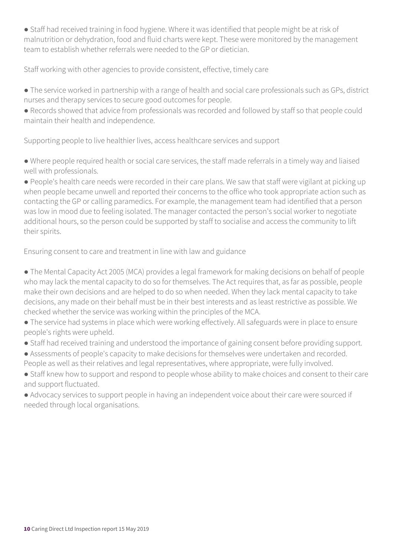● Staff had received training in food hygiene. Where it was identified that people might be at risk of malnutrition or dehydration, food and fluid charts were kept. These were monitored by the management team to establish whether referrals were needed to the GP or dietician.

Staff working with other agencies to provide consistent, effective, timely care

● The service worked in partnership with a range of health and social care professionals such as GPs, district nurses and therapy services to secure good outcomes for people.

● Records showed that advice from professionals was recorded and followed by staff so that people could maintain their health and independence.

Supporting people to live healthier lives, access healthcare services and support

● Where people required health or social care services, the staff made referrals in a timely way and liaised well with professionals.

● People's health care needs were recorded in their care plans. We saw that staff were vigilant at picking up when people became unwell and reported their concerns to the office who took appropriate action such as contacting the GP or calling paramedics. For example, the management team had identified that a person was low in mood due to feeling isolated. The manager contacted the person's social worker to negotiate additional hours, so the person could be supported by staff to socialise and access the community to lift their spirits.

Ensuring consent to care and treatment in line with law and guidance

● The Mental Capacity Act 2005 (MCA) provides a legal framework for making decisions on behalf of people who may lack the mental capacity to do so for themselves. The Act requires that, as far as possible, people make their own decisions and are helped to do so when needed. When they lack mental capacity to take decisions, any made on their behalf must be in their best interests and as least restrictive as possible. We checked whether the service was working within the principles of the MCA.

• The service had systems in place which were working effectively. All safeguards were in place to ensure people's rights were upheld.

● Staff had received training and understood the importance of gaining consent before providing support.

● Assessments of people's capacity to make decisions for themselves were undertaken and recorded. People as well as their relatives and legal representatives, where appropriate, were fully involved.

● Staff knew how to support and respond to people whose ability to make choices and consent to their care and support fluctuated.

● Advocacy services to support people in having an independent voice about their care were sourced if needed through local organisations.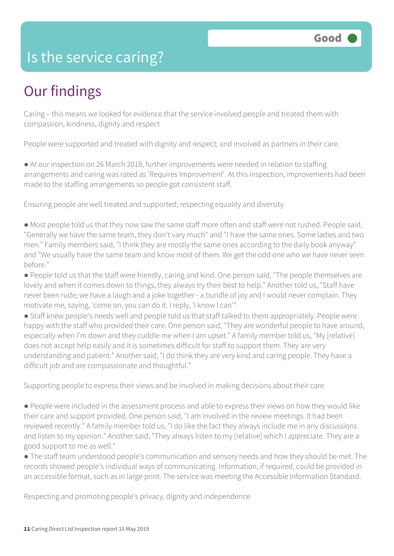#### Is the service caring?

## Our findings

Caring – this means we looked for evidence that the service involved people and treated them with compassion, kindness, dignity and respect

People were supported and treated with dignity and respect; and involved as partners in their care.

● At our inspection on 26 March 2018, further improvements were needed in relation to staffing arrangements and caring was rated as 'Requires Improvement'. At this inspection, improvements had been made to the staffing arrangements so people got consistent staff.

Ensuring people are well treated and supported; respecting equality and diversity

● Most people told us that they now saw the same staff more often and staff were not rushed. People said, "Generally we have the same team, they don't vary much" and "I have the same ones. Some ladies and two men." Family members said, "I think they are mostly the same ones according to the daily book anyway" and "We usually have the same team and know most of them. We get the odd one who we have never seen before."

● People told us that the staff were friendly, caring and kind. One person said, "The people themselves are lovely and when it comes down to things, they always try their best to help." Another told us, "Staff have never been rude; we have a laugh and a joke together - a bundle of joy and I would never complain. They motivate me, saying, 'come on, you can do it. I reply, 'I know I can'".

● Staff knew people's needs well and people told us that staff talked to them appropriately. People were happy with the staff who provided their care. One person said, "They are wonderful people to have around, especially when I'm down and they cuddle me when I am upset." A family member told us, "My [relative] does not accept help easily and it is sometimes difficult for staff to support them. They are very understanding and patient." Another said, "I do think they are very kind and caring people. They have a difficult job and are compassionate and thoughtful."

Supporting people to express their views and be involved in making decisions about their care

● People were included in the assessment process and able to express their views on how they would like their care and support provided. One person said, "I am involved in the review meetings. It had been reviewed recently." A family member told us, "I do like the fact they always include me in any discussions and listen to my opinion." Another said, "They always listen to my [relative] which I appreciate. They are a good support to me as well."

● The staff team understood people's communication and sensory needs and how they should be met. The records showed people's individual ways of communicating. Information, if required, could be provided in an accessible format, such as in large print. The service was meeting the Accessible Information Standard.

Respecting and promoting people's privacy, dignity and independence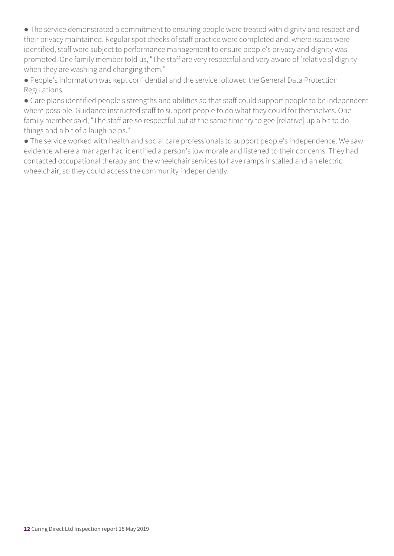● The service demonstrated a commitment to ensuring people were treated with dignity and respect and their privacy maintained. Regular spot checks of staff practice were completed and, where issues were identified, staff were subject to performance management to ensure people's privacy and dignity was promoted. One family member told us, "The staff are very respectful and very aware of [relative's] dignity when they are washing and changing them."

● People's information was kept confidential and the service followed the General Data Protection Regulations.

● Care plans identified people's strengths and abilities so that staff could support people to be independent where possible. Guidance instructed staff to support people to do what they could for themselves. One family member said, "The staff are so respectful but at the same time try to gee [relative] up a bit to do things and a bit of a laugh helps."

● The service worked with health and social care professionals to support people's independence. We saw evidence where a manager had identified a person's low morale and listened to their concerns. They had contacted occupational therapy and the wheelchair services to have ramps installed and an electric wheelchair, so they could access the community independently.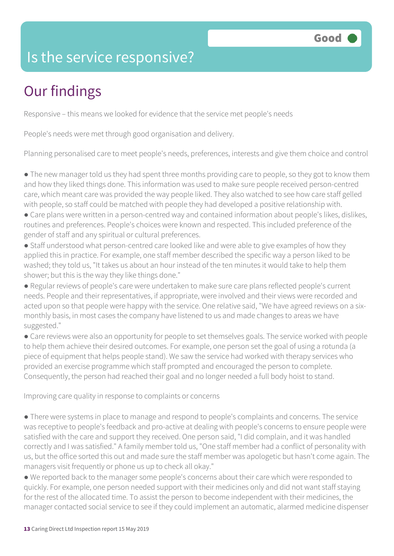### Is the service responsive?

# Our findings

Responsive – this means we looked for evidence that the service met people's needs

People's needs were met through good organisation and delivery.

Planning personalised care to meet people's needs, preferences, interests and give them choice and control

- The new manager told us they had spent three months providing care to people, so they got to know them and how they liked things done. This information was used to make sure people received person-centred care, which meant care was provided the way people liked. They also watched to see how care staff gelled with people, so staff could be matched with people they had developed a positive relationship with.
- Care plans were written in a person-centred way and contained information about people's likes, dislikes, routines and preferences. People's choices were known and respected. This included preference of the gender of staff and any spiritual or cultural preferences.
- Staff understood what person-centred care looked like and were able to give examples of how they applied this in practice. For example, one staff member described the specific way a person liked to be washed; they told us, "It takes us about an hour instead of the ten minutes it would take to help them shower; but this is the way they like things done."
- Regular reviews of people's care were undertaken to make sure care plans reflected people's current needs. People and their representatives, if appropriate, were involved and their views were recorded and acted upon so that people were happy with the service. One relative said, "We have agreed reviews on a sixmonthly basis, in most cases the company have listened to us and made changes to areas we have suggested."
- Care reviews were also an opportunity for people to set themselves goals. The service worked with people to help them achieve their desired outcomes. For example, one person set the goal of using a rotunda (a piece of equipment that helps people stand). We saw the service had worked with therapy services who provided an exercise programme which staff prompted and encouraged the person to complete. Consequently, the person had reached their goal and no longer needed a full body hoist to stand.

Improving care quality in response to complaints or concerns

- There were systems in place to manage and respond to people's complaints and concerns. The service was receptive to people's feedback and pro-active at dealing with people's concerns to ensure people were satisfied with the care and support they received. One person said, "I did complain, and it was handled correctly and I was satisfied." A family member told us, "One staff member had a conflict of personality with us, but the office sorted this out and made sure the staff member was apologetic but hasn't come again. The managers visit frequently or phone us up to check all okay."
- We reported back to the manager some people's concerns about their care which were responded to quickly. For example, one person needed support with their medicines only and did not want staff staying for the rest of the allocated time. To assist the person to become independent with their medicines, the manager contacted social service to see if they could implement an automatic, alarmed medicine dispenser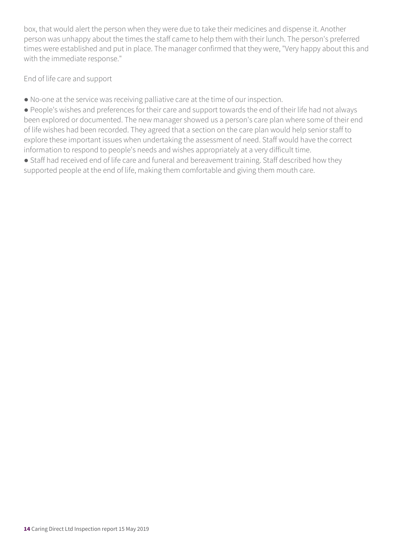box, that would alert the person when they were due to take their medicines and dispense it. Another person was unhappy about the times the staff came to help them with their lunch. The person's preferred times were established and put in place. The manager confirmed that they were, "Very happy about this and with the immediate response."

End of life care and support

● No-one at the service was receiving palliative care at the time of our inspection.

● People's wishes and preferences for their care and support towards the end of their life had not always been explored or documented. The new manager showed us a person's care plan where some of their end of life wishes had been recorded. They agreed that a section on the care plan would help senior staff to explore these important issues when undertaking the assessment of need. Staff would have the correct information to respond to people's needs and wishes appropriately at a very difficult time.

● Staff had received end of life care and funeral and bereavement training. Staff described how they supported people at the end of life, making them comfortable and giving them mouth care.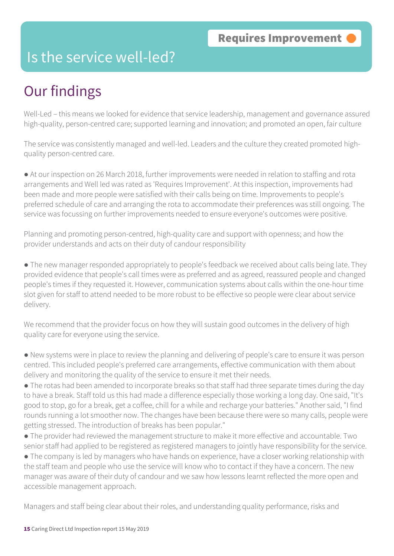#### Is the service well-led?

# Our findings

Well-Led – this means we looked for evidence that service leadership, management and governance assured high-quality, person-centred care; supported learning and innovation; and promoted an open, fair culture

The service was consistently managed and well-led. Leaders and the culture they created promoted highquality person-centred care.

● At our inspection on 26 March 2018, further improvements were needed in relation to staffing and rota arrangements and Well led was rated as 'Requires Improvement'. At this inspection, improvements had been made and more people were satisfied with their calls being on time. Improvements to people's preferred schedule of care and arranging the rota to accommodate their preferences was still ongoing. The service was focussing on further improvements needed to ensure everyone's outcomes were positive.

Planning and promoting person-centred, high-quality care and support with openness; and how the provider understands and acts on their duty of candour responsibility

● The new manager responded appropriately to people's feedback we received about calls being late. They provided evidence that people's call times were as preferred and as agreed, reassured people and changed people's times if they requested it. However, communication systems about calls within the one-hour time slot given for staff to attend needed to be more robust to be effective so people were clear about service delivery.

We recommend that the provider focus on how they will sustain good outcomes in the delivery of high quality care for everyone using the service.

- New systems were in place to review the planning and delivering of people's care to ensure it was person centred. This included people's preferred care arrangements, effective communication with them about delivery and monitoring the quality of the service to ensure it met their needs.
- The rotas had been amended to incorporate breaks so that staff had three separate times during the day to have a break. Staff told us this had made a difference especially those working a long day. One said, "It's good to stop, go for a break, get a coffee, chill for a while and recharge your batteries." Another said, "I find rounds running a lot smoother now. The changes have been because there were so many calls, people were getting stressed. The introduction of breaks has been popular."
- The provider had reviewed the management structure to make it more effective and accountable. Two senior staff had applied to be registered as registered managers to jointly have responsibility for the service.
- The company is led by managers who have hands on experience, have a closer working relationship with the staff team and people who use the service will know who to contact if they have a concern. The new manager was aware of their duty of candour and we saw how lessons learnt reflected the more open and accessible management approach.

Managers and staff being clear about their roles, and understanding quality performance, risks and